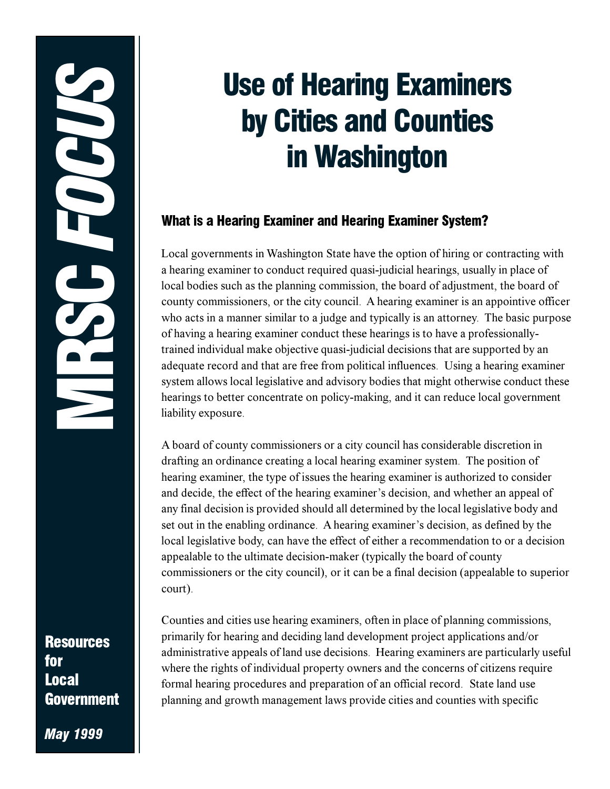**Resources** for **Local Government** 

**May 1999** 

# **Use of Hearing Examiners** by Cities and Counties in Washington

# What is a Hearing Examiner and Hearing Examiner System?

Local governments in Washington State have the option of hiring or contracting with a hearing examiner to conduct required quasi-judicial hearings, usually in place of local bodies such as the planning commission, the board of adjustment, the board of county commissioners, or the city council. A hearing examiner is an appointive officer who acts in a manner similar to a judge and typically is an attorney. The basic purpose of having a hearing examiner conduct these hearings is to have a professionallytrained individual make objective quasi-judicial decisions that are supported by an adequate record and that are free from political influences. Using a hearing examiner system allows local legislative and advisory bodies that might otherwise conduct these hearings to better concentrate on policy-making, and it can reduce local government liability exposure.

A board of county commissioners or a city council has considerable discretion in drafting an ordinance creating a local hearing examiner system. The position of hearing examiner, the type of issues the hearing examiner is authorized to consider and decide, the effect of the hearing examiner's decision, and whether an appeal of any final decision is provided should all determined by the local legislative body and set out in the enabling ordinance. A hearing examiner's decision, as defined by the local legislative body, can have the effect of either a recommendation to or a decision appealable to the ultimate decision-maker (typically the board of county commissioners or the city council), or it can be a final decision (appealable to superior court).

Counties and cities use hearing examiners, often in place of planning commissions, primarily for hearing and deciding land development project applications and/or administrative appeals of land use decisions. Hearing examiners are particularly useful where the rights of individual property owners and the concerns of citizens require formal hearing procedures and preparation of an official record. State land use planning and growth management laws provide cities and counties with specific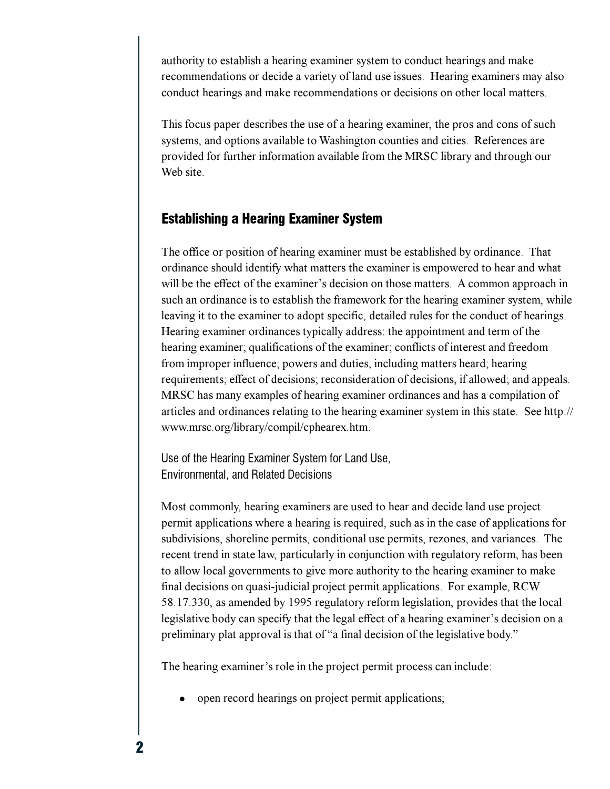authority to establish a hearing examiner system to conduct hearings and make recommendations or decide a variety of land use issues. Hearing examiners may also conduct hearings and make recommendations or decisions on other local matters.

This focus paper describes the use of a hearing examiner, the pros and cons of such systems, and options available to Washington counties and cities. References are provided for further information available from the MRSC library and through our Web site.

### **Establishing a Hearing Examiner System**

The office or position of hearing examiner must be established by ordinance. That ordinance should identify what matters the examiner is empowered to hear and what will be the effect of the examiner's decision on those matters. A common approach in such an ordinance is to establish the framework for the hearing examiner system, while leaving it to the examiner to adopt specific, detailed rules for the conduct of hearings. Hearing examiner ordinances typically address: the appointment and term of the hearing examiner; qualifications of the examiner; conflicts of interest and freedom from improper influence; powers and duties, including matters heard; hearing requirements; effect of decisions; reconsideration of decisions, if allowed; and appeals. MRSC has many examples of hearing examiner ordinances and has a compilation of articles and ordinances relating to the hearing examiner system in this state. See http:// www.mrsc.org/library/compil/cphearex.htm.

Use of the Hearing Examiner System for Land Use, **Environmental, and Related Decisions** 

Most commonly, hearing examiners are used to hear and decide land use project permit applications where a hearing is required, such as in the case of applications for subdivisions, shoreline permits, conditional use permits, rezones, and variances. The recent trend in state law, particularly in conjunction with regulatory reform, has been to allow local governments to give more authority to the hearing examiner to make final decisions on quasi-judicial project permit applications. For example, RCW 58.17.330, as amended by 1995 regulatory reform legislation, provides that the local legislative body can specify that the legal effect of a hearing examiner's decision on a preliminary plat approval is that of "a final decision of the legislative body."

The hearing examiner's role in the project permit process can include:

open record hearings on project permit applications;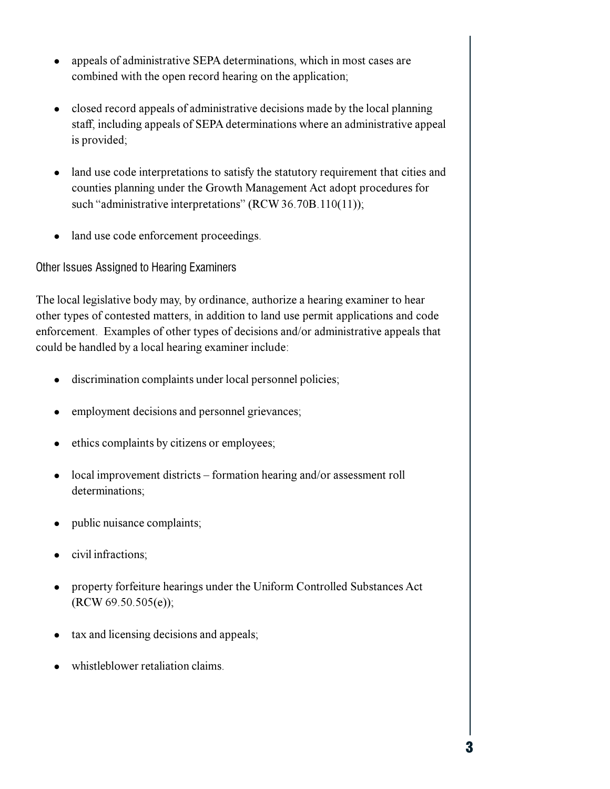- appeals of administrative SEPA determinations, which in most cases are  $\bullet$ combined with the open record hearing on the application;
- closed record appeals of administrative decisions made by the local planning staff, including appeals of SEPA determinations where an administrative appeal is provided;
- land use code interpretations to satisfy the statutory requirement that cities and counties planning under the Growth Management Act adopt procedures for such "administrative interpretations" (RCW 36.70B.110(11));
- land use code enforcement proceedings.

Other Issues Assigned to Hearing Examiners

The local legislative body may, by ordinance, authorize a hearing examiner to hear other types of contested matters, in addition to land use permit applications and code enforcement. Examples of other types of decisions and/or administrative appeals that could be handled by a local hearing examiner include:

- discrimination complaints under local personnel policies;
- employment decisions and personnel grievances;
- ethics complaints by citizens or employees;
- local improvement districts formation hearing and/or assessment roll determinations;
- public nuisance complaints;
- civil infractions;
- property forfeiture hearings under the Uniform Controlled Substances Act  $(RCW 69.50.505(e));$
- tax and licensing decisions and appeals;
- whistleblower retaliation claims.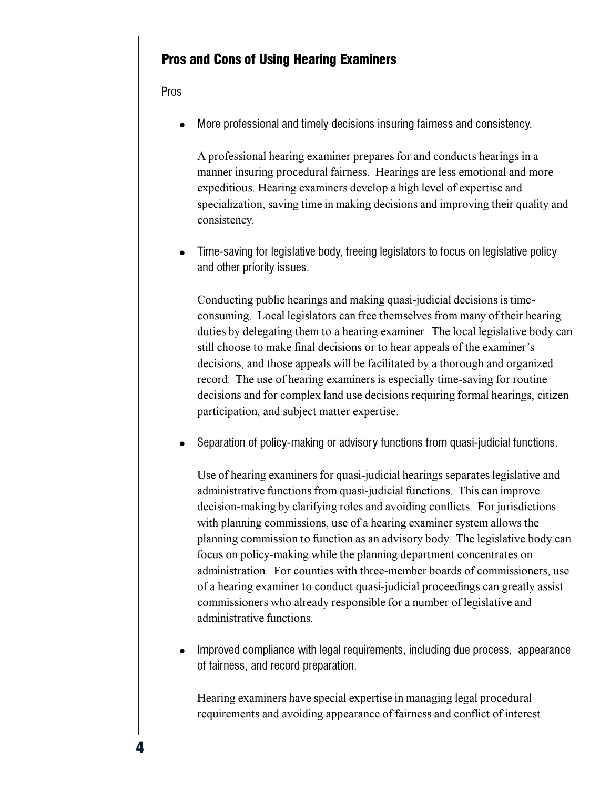# **Pros and Cons of Using Hearing Examiners**

Pros

More professional and timely decisions insuring fairness and consistency.

A professional hearing examiner prepares for and conducts hearings in a manner insuring procedural fairness. Hearings are less emotional and more expeditious. Hearing examiners develop a high level of expertise and specialization, saving time in making decisions and improving their quality and consistency.

Time-saving for legislative body, freeing legislators to focus on legislative policy and other priority issues.

Conducting public hearings and making quasi-judicial decisions is timeconsuming. Local legislators can free themselves from many of their hearing duties by delegating them to a hearing examiner. The local legislative body can still choose to make final decisions or to hear appeals of the examiner's decisions, and those appeals will be facilitated by a thorough and organized record. The use of hearing examiners is especially time-saving for routine decisions and for complex land use decisions requiring formal hearings, citizen participation, and subject matter expertise.

Separation of policy-making or advisory functions from quasi-judicial functions.

Use of hearing examiners for quasi-judicial hearings separates legislative and administrative functions from quasi-judicial functions. This can improve decision-making by clarifying roles and avoiding conflicts. For jurisdictions with planning commissions, use of a hearing examiner system allows the planning commission to function as an advisory body. The legislative body can focus on policy-making while the planning department concentrates on administration. For counties with three-member boards of commissioners, use of a hearing examiner to conduct quasi-judicial proceedings can greatly assist commissioners who already responsible for a number of legislative and administrative functions.

Improved compliance with legal requirements, including due process, appearance of fairness, and record preparation.

Hearing examiners have special expertise in managing legal procedural requirements and avoiding appearance of fairness and conflict of interest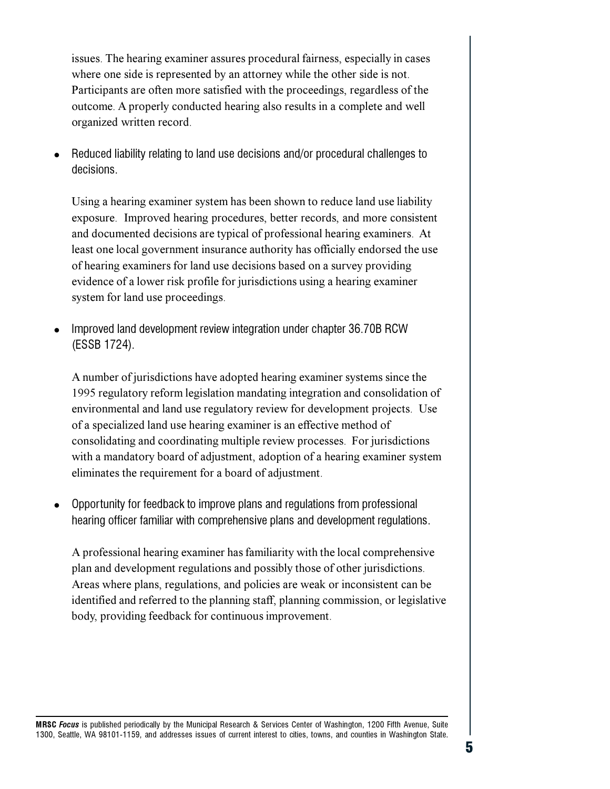issues. The hearing examiner assures procedural fairness, especially in cases where one side is represented by an attorney while the other side is not. Participants are often more satisfied with the proceedings, regardless of the outcome. A properly conducted hearing also results in a complete and well organized written record.

Reduced liability relating to land use decisions and/or procedural challenges to decisions.

Using a hearing examiner system has been shown to reduce land use liability exposure. Improved hearing procedures, better records, and more consistent and documented decisions are typical of professional hearing examiners. At least one local government insurance authority has officially endorsed the use of hearing examiners for land use decisions based on a survey providing evidence of a lower risk profile for jurisdictions using a hearing examiner system for land use proceedings.

Improved land development review integration under chapter 36.70B RCW (ESSB 1724).

A number of jurisdictions have adopted hearing examiner systems since the 1995 regulatory reform legislation mandating integration and consolidation of environmental and land use regulatory review for development projects. Use of a specialized land use hearing examiner is an effective method of consolidating and coordinating multiple review processes. For jurisdictions with a mandatory board of adjustment, adoption of a hearing examiner system eliminates the requirement for a board of adjustment.

Opportunity for feedback to improve plans and regulations from professional hearing officer familiar with comprehensive plans and development regulations.

A professional hearing examiner has familiarity with the local comprehensive plan and development regulations and possibly those of other jurisdictions. Areas where plans, regulations, and policies are weak or inconsistent can be identified and referred to the planning staff, planning commission, or legislative body, providing feedback for continuous improvement.

MRSC Focus is published periodically by the Municipal Research & Services Center of Washington, 1200 Fifth Avenue, Suite 1300, Seattle, WA 98101-1159, and addresses issues of current interest to cities, towns, and counties in Washington State.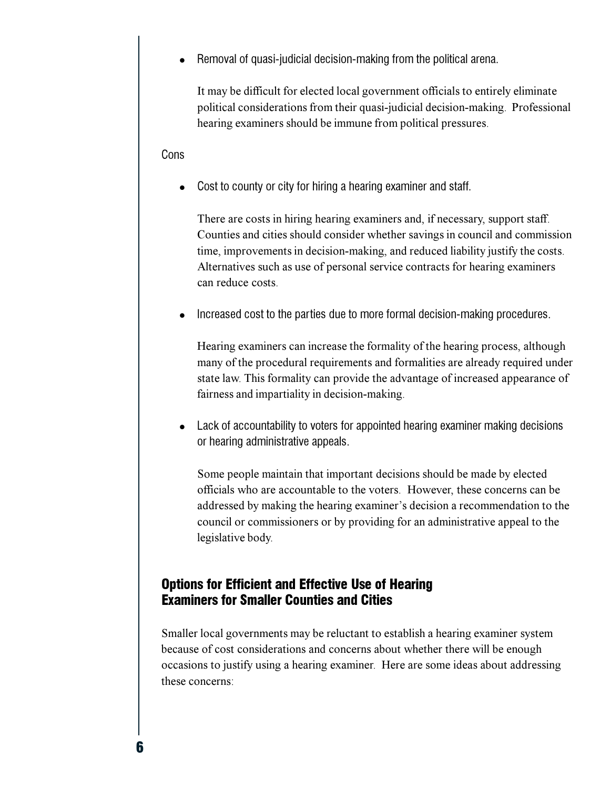Removal of quasi-judicial decision-making from the political arena.

It may be difficult for elected local government officials to entirely eliminate political considerations from their quasi-judicial decision-making. Professional hearing examiners should be immune from political pressures.

#### Cons

Cost to county or city for hiring a hearing examiner and staff.

There are costs in hiring hearing examiners and, if necessary, support staff. Counties and cities should consider whether savings in council and commission time, improvements in decision-making, and reduced liability justify the costs. Alternatives such as use of personal service contracts for hearing examiners can reduce costs

Increased cost to the parties due to more formal decision-making procedures.

Hearing examiners can increase the formality of the hearing process, although many of the procedural requirements and formalities are already required under state law. This formality can provide the advantage of increased appearance of fairness and impartiality in decision-making.

Lack of accountability to voters for appointed hearing examiner making decisions or hearing administrative appeals.

Some people maintain that important decisions should be made by elected officials who are accountable to the voters. However, these concerns can be addressed by making the hearing examiner's decision a recommendation to the council or commissioners or by providing for an administrative appeal to the legislative body.

## **Options for Efficient and Effective Use of Hearing Examiners for Smaller Counties and Cities**

Smaller local governments may be reluctant to establish a hearing examiner system because of cost considerations and concerns about whether there will be enough occasions to justify using a hearing examiner. Here are some ideas about addressing these concerns: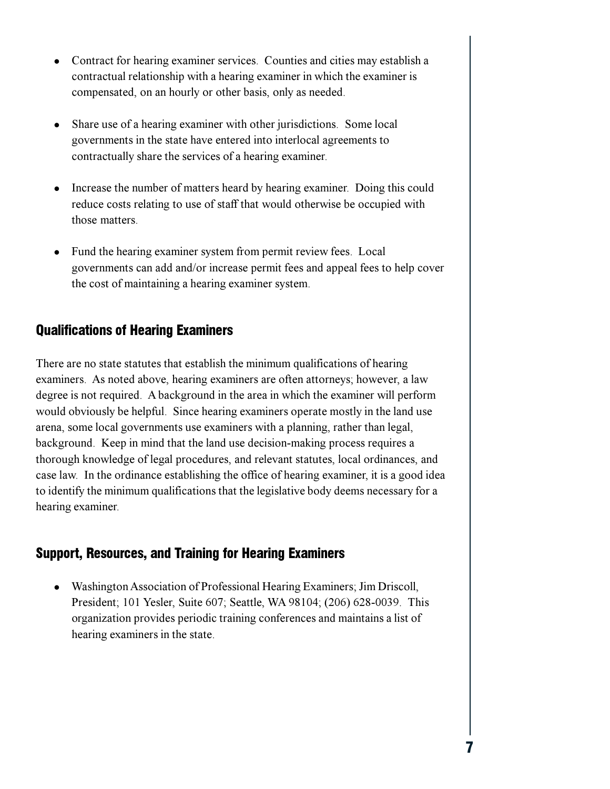- Contract for hearing examiner services. Counties and cities may establish a contractual relationship with a hearing examiner in which the examiner is compensated, on an hourly or other basis, only as needed.
- Share use of a hearing examiner with other jurisdictions. Some local governments in the state have entered into interlocal agreements to contractually share the services of a hearing examiner.
- Increase the number of matters heard by hearing examiner. Doing this could reduce costs relating to use of staff that would otherwise be occupied with those matters.
- Fund the hearing examiner system from permit review fees. Local governments can add and/or increase permit fees and appeal fees to help cover the cost of maintaining a hearing examiner system.

# **Qualifications of Hearing Examiners**

There are no state statutes that establish the minimum qualifications of hearing examiners. As noted above, hearing examiners are often attorneys; however, a law degree is not required. A background in the area in which the examiner will perform would obviously be helpful. Since hearing examiners operate mostly in the land use arena, some local governments use examiners with a planning, rather than legal, background. Keep in mind that the land use decision-making process requires a thorough knowledge of legal procedures, and relevant statutes, local ordinances, and case law. In the ordinance establishing the office of hearing examiner, it is a good idea to identify the minimum qualifications that the legislative body deems necessary for a hearing examiner.

# **Support, Resources, and Training for Hearing Examiners**

• Washington Association of Professional Hearing Examiners; Jim Driscoll, President; 101 Yesler, Suite 607; Seattle, WA 98104; (206) 628-0039. This organization provides periodic training conferences and maintains a list of hearing examiners in the state.